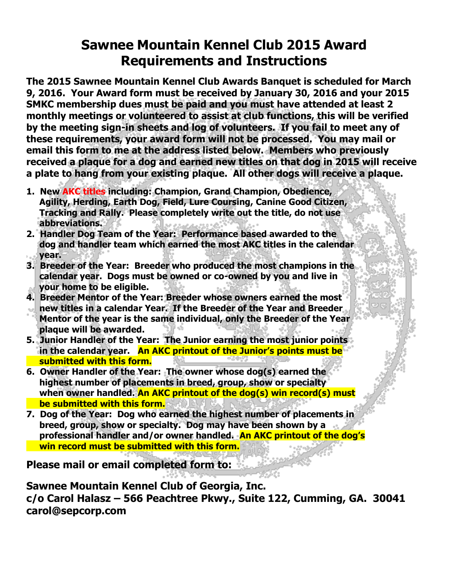# **Sawnee Mountain Kennel Club 2015 Award Requirements and Instructions**

**The 2015 Sawnee Mountain Kennel Club Awards Banquet is scheduled for March 9, 2016. Your Award form must be received by January 30, 2016 and your 2015 SMKC membership dues must be paid and you must have attended at least 2 monthly meetings or volunteered to assist at club functions, this will be verified by the meeting sign-in sheets and log of volunteers. If you fail to meet any of these requirements, your award form will not be processed. You may mail or email this form to me at the address listed below. Members who previously received a plaque for a dog and earned new titles on that dog in 2015 will receive a plate to hang from your existing plaque. All other dogs will receive a plaque.**

- **1. New AKC titles including: Champion, Grand Champion, Obedience, Agility, Herding, Earth Dog, Field, Lure Coursing, Canine Good Citizen, Tracking and Rally. Please completely write out the title, do not use abbreviations.**
- **2. Handler Dog Team of the Year: Performance based awarded to the dog and handler team which earned the most AKC titles in the calendar year.**
- **3. Breeder of the Year: Breeder who produced the most champions in the calendar year. Dogs must be owned or co-owned by you and live in your home to be eligible.**
- **4. Breeder Mentor of the Year: Breeder whose owners earned the most new titles in a calendar Year. If the Breeder of the Year and Breeder Mentor of the year is the same individual, only the Breeder of the Year plaque will be awarded.**
- **5. Junior Handler of the Year: The Junior earning the most junior points in the calendar year. An AKC printout of the Junior's points must be submitted with this form.**
- **6. Owner Handler of the Year: The owner whose dog(s) earned the highest number of placements in breed, group, show or specialty when owner handled. An AKC printout of the dog(s) win record(s) must be submitted with this form.**
- **7. Dog of the Year: Dog who earned the highest number of placements in breed, group, show or specialty. Dog may have been shown by a professional handler and/or owner handled. An AKC printout of the dog's win record must be submitted with this form.**

**Please mail or email completed form to:**

**Sawnee Mountain Kennel Club of Georgia, Inc. c/o Carol Halasz – 566 Peachtree Pkwy., Suite 122, Cumming, GA. 30041 carol@sepcorp.com**